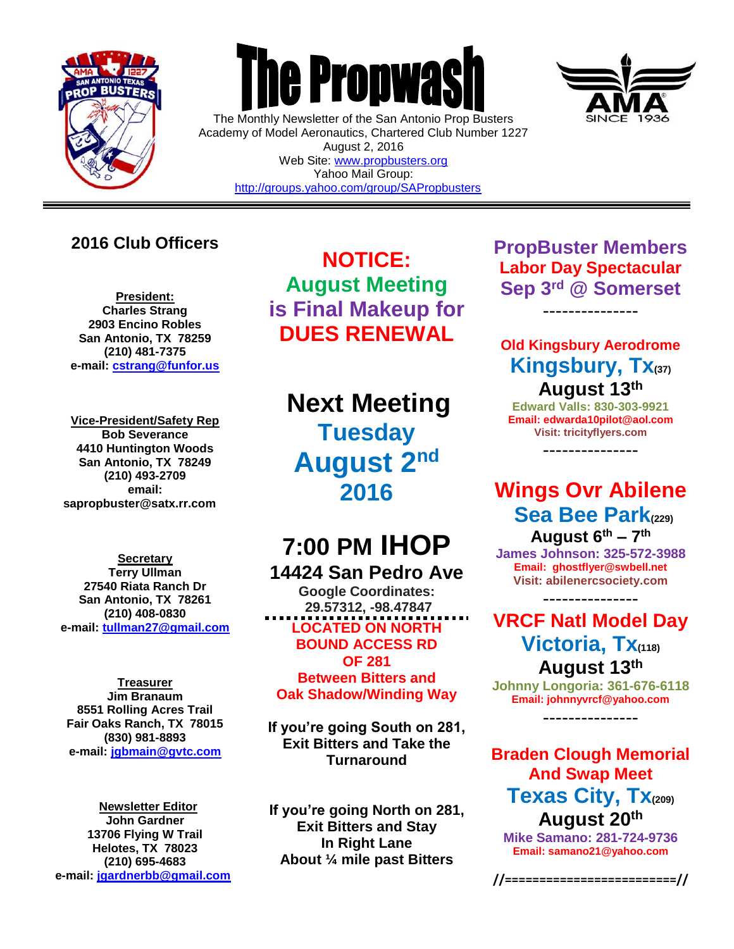

 $\overline{a}$ 

# **The Propwas**

The Monthly Newsletter of the San Antonio Prop Busters Academy of Model Aeronautics, Chartered Club Number 1227 August 2, 2016 Web Site: [www.propbusters.org](http://www.propbusters.org/) Yahoo Mail Group: <http://groups.yahoo.com/group/SAPropbusters>

## **2016 Club Officers**

**President: Charles Strang 2903 Encino Robles San Antonio, TX 78259 (210) 481-7375 e-mail: [cstrang@funfor.us](mailto:cstrang@funfor.us)**

**Vice-President/Safety Rep Bob Severance 4410 Huntington Woods San Antonio, TX 78249 (210) 493-2709 email: sapropbuster@satx.rr.com**

**Secretary Terry Ullman 27540 Riata Ranch Dr San Antonio, TX 78261 (210) 408-0830 e-mail: [tullman27@gmail.com](mailto:tullman27@gmail.com)**

**Treasurer Jim Branaum 8551 Rolling Acres Trail Fair Oaks Ranch, TX 78015 (830) 981-8893 e-mail: [jgbmain@gvtc.com](mailto:jgbmain@gvtc.com)**

**Newsletter Editor John Gardner 13706 Flying W Trail Helotes, TX 78023 (210) 695-4683 e-mail: [jgardnerbb@gmail.com](mailto:jgardnerbb@gmail.com)**

**NOTICE: August Meeting is Final Makeup for DUES RENEWAL**

**Next Meeting Tuesday August 2nd 2016**

# **7:00 PM IHOP 14424 San Pedro Ave**

**Google Coordinates: 29.57312, -98.47847 LOCATED ON NORTH BOUND ACCESS RD OF 281**

**Between Bitters and Oak Shadow/Winding Way**

**If you're going South on 281, Exit Bitters and Take the Turnaround**

**If you're going North on 281, Exit Bitters and Stay In Right Lane About ¼ mile past Bitters**

**PropBuster Members Labor Day Spectacular Sep 3rd @ Somerset**

---------------

## **Old Kingsbury Aerodrome Kingsbury, Tx(37) August 13th**

**Edward Valls: 830-303-9921 Email: edwarda10pilot@aol.com Visit: tricityflyers.com**

---------------

# **Wings Ovr Abilene Sea Bee Park(229)**

**August 6 th – 7 th James Johnson: 325-572-3988 Email: ghostflyer@swbell.net Visit: abilenercsociety.com**

---------------

**VRCF Natl Model Day Victoria, Tx(118) August 13th**

**Johnny Longoria: 361-676-6118 Email: johnnyvrcf@yahoo.com** ---------------

**Braden Clough Memorial And Swap Meet Texas City, Tx(209) August 20th**

**Mike Samano: 281-724-9736 Email: samano21@yahoo.com**

**//=========================//**

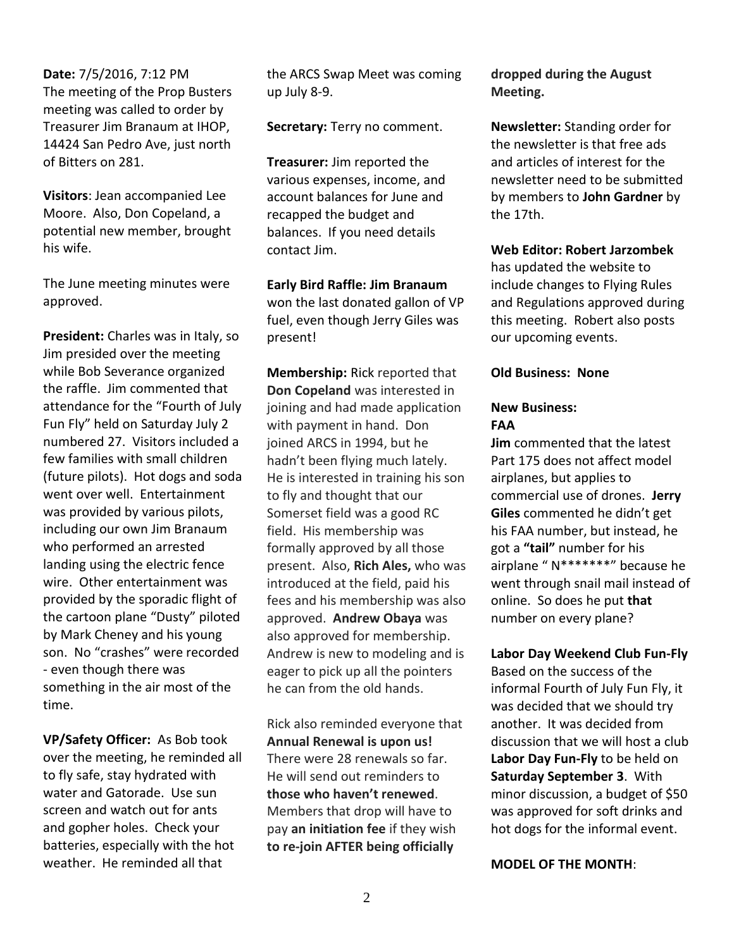**Date:** 7/5/2016, 7:12 PM The meeting of the Prop Busters meeting was called to order by Treasurer Jim Branaum at IHOP, 14424 San Pedro Ave, just north of Bitters on 281.

**Visitors**: Jean accompanied Lee Moore. Also, Don Copeland, a potential new member, brought his wife.

The June meeting minutes were approved.

**President:** Charles was in Italy, so Jim presided over the meeting while Bob Severance organized the raffle. Jim commented that attendance for the "Fourth of July Fun Fly" held on Saturday July 2 numbered 27. Visitors included a few families with small children (future pilots). Hot dogs and soda went over well. Entertainment was provided by various pilots, including our own Jim Branaum who performed an arrested landing using the electric fence wire. Other entertainment was provided by the sporadic flight of the cartoon plane "Dusty" piloted by Mark Cheney and his young son. No "crashes" were recorded - even though there was something in the air most of the time.

**VP/Safety Officer:** As Bob took over the meeting, he reminded all to fly safe, stay hydrated with water and Gatorade. Use sun screen and watch out for ants and gopher holes. Check your batteries, especially with the hot weather. He reminded all that

the ARCS Swap Meet was coming up July 8-9.

**Secretary:** Terry no comment.

**Treasurer:** Jim reported the various expenses, income, and account balances for June and recapped the budget and balances. If you need details contact Jim.

**Early Bird Raffle: Jim Branaum** won the last donated gallon of VP fuel, even though Jerry Giles was present!

**Membership:** Rick reported that **Don Copeland** was interested in joining and had made application with payment in hand. Don joined ARCS in 1994, but he hadn't been flying much lately. He is interested in training his son to fly and thought that our Somerset field was a good RC field. His membership was formally approved by all those present. Also, **Rich Ales,** who was introduced at the field, paid his fees and his membership was also approved. **Andrew Obaya** was also approved for membership. Andrew is new to modeling and is eager to pick up all the pointers he can from the old hands.

Rick also reminded everyone that **Annual Renewal is upon us!** There were 28 renewals so far. He will send out reminders to **those who haven't renewed**. Members that drop will have to pay **an initiation fee** if they wish **to re-join AFTER being officially** 

**dropped during the August Meeting.**

**Newsletter:** Standing order for the newsletter is that free ads and articles of interest for the newsletter need to be submitted by members to **John Gardner** by the 17th.

**Web Editor: Robert Jarzombek** 

has updated the website to include changes to Flying Rules and Regulations approved during this meeting. Robert also posts our upcoming events.

### **Old Business: None**

#### **New Business: FAA**

**Jim** commented that the latest Part 175 does not affect model airplanes, but applies to commercial use of drones. **Jerry Giles** commented he didn't get his FAA number, but instead, he got a **"tail"** number for his airplane " N\*\*\*\*\*\*\*" because he went through snail mail instead of online. So does he put **that** number on every plane?

**Labor Day Weekend Club Fun-Fly**

Based on the success of the informal Fourth of July Fun Fly, it was decided that we should try another. It was decided from discussion that we will host a club **Labor Day Fun-Fly** to be held on **Saturday September 3**. With minor discussion, a budget of \$50 was approved for soft drinks and hot dogs for the informal event.

**MODEL OF THE MONTH**: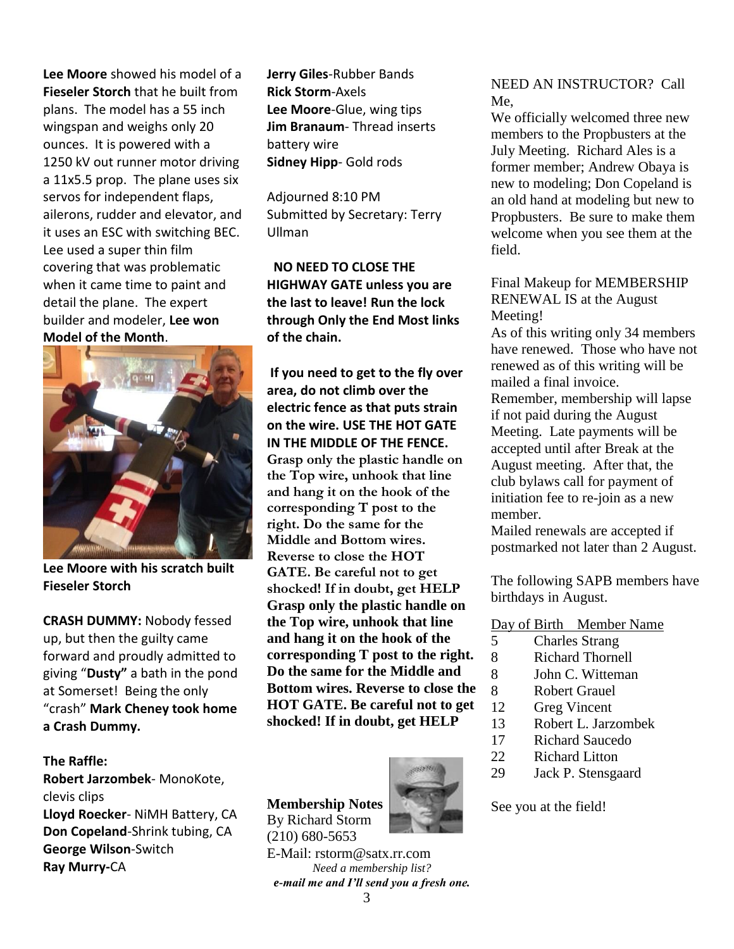**Lee Moore** showed his model of a **Fieseler Storch** that he built from plans. The model has a 55 inch wingspan and weighs only 20 ounces. It is powered with a 1250 kV out runner motor driving a 11x5.5 prop. The plane uses six servos for independent flaps, ailerons, rudder and elevator, and it uses an ESC with switching BEC. Lee used a super thin film covering that was problematic when it came time to paint and detail the plane. The expert builder and modeler, **Lee won Model of the Month**.



**Lee Moore with his scratch built Fieseler Storch**

**CRASH DUMMY:** Nobody fessed up, but then the guilty came forward and proudly admitted to giving "**Dusty"** a bath in the pond at Somerset! Being the only "crash" **Mark Cheney took home a Crash Dummy.**

### **The Raffle:**

**Robert Jarzombek**- MonoKote, clevis clips **Lloyd Roecker**- NiMH Battery, CA **Don Copeland**-Shrink tubing, CA **George Wilson**-Switch **Ray Murry-**CA

**Jerry Giles**-Rubber Bands **Rick Storm**-Axels **Lee Moore**-Glue, wing tips **Jim Branaum**- Thread inserts battery wire **Sidney Hipp**- Gold rods

Adjourned 8:10 PM Submitted by Secretary: Terry Ullman

 **NO NEED TO CLOSE THE HIGHWAY GATE unless you are the last to leave! Run the lock through Only the End Most links of the chain.**

**If you need to get to the fly over area, do not climb over the electric fence as that puts strain on the wire. USE THE HOT GATE IN THE MIDDLE OF THE FENCE. Grasp only the plastic handle on the Top wire, unhook that line and hang it on the hook of the corresponding T post to the right. Do the same for the Middle and Bottom wires. Reverse to close the HOT GATE. Be careful not to get shocked! If in doubt, get HELP Grasp only the plastic handle on the Top wire, unhook that line and hang it on the hook of the corresponding T post to the right. Do the same for the Middle and Bottom wires. Reverse to close the HOT GATE. Be careful not to get shocked! If in doubt, get HELP**

**Membership Notes** By Richard Storm



E-Mail: rstorm@satx.rr.com *Need a membership list? e-mail me and I'll send you a fresh one.* NEED AN INSTRUCTOR? Call Me,

We officially welcomed three new members to the Propbusters at the July Meeting. Richard Ales is a former member; Andrew Obaya is new to modeling; Don Copeland is an old hand at modeling but new to Propbusters. Be sure to make them welcome when you see them at the field.

Final Makeup for MEMBERSHIP RENEWAL IS at the August Meeting!

As of this writing only 34 members have renewed. Those who have not renewed as of this writing will be mailed a final invoice. Remember, membership will lapse

if not paid during the August Meeting. Late payments will be accepted until after Break at the August meeting. After that, the club bylaws call for payment of initiation fee to re-join as a new member.

Mailed renewals are accepted if postmarked not later than 2 August.

The following SAPB members have birthdays in August.

Day of Birth Member Name

- 5 Charles Strang
- 8 Richard Thornell
- 8 John C. Witteman
- 8 Robert Grauel
- 12 Greg Vincent
- 13 Robert L. Jarzombek
- 17 Richard Saucedo
- 22 Richard Litton
- 29 Jack P. Stensgaard

See you at the field!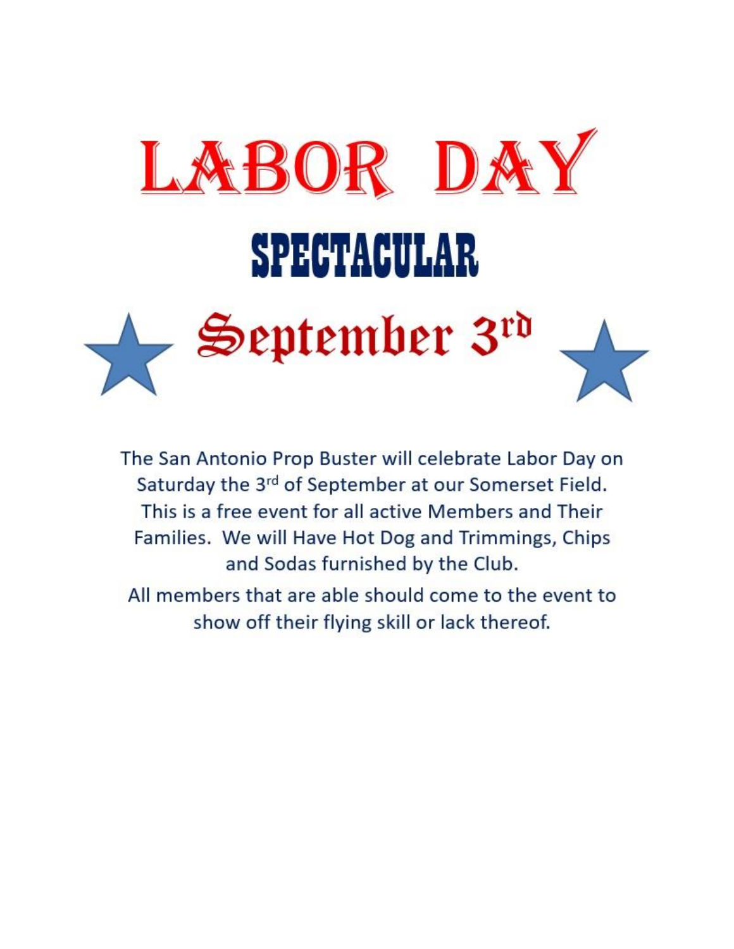

The San Antonio Prop Buster will celebrate Labor Day on Saturday the 3rd of September at our Somerset Field. This is a free event for all active Members and Their Families. We will Have Hot Dog and Trimmings, Chips and Sodas furnished by the Club.

All members that are able should come to the event to show off their flying skill or lack thereof.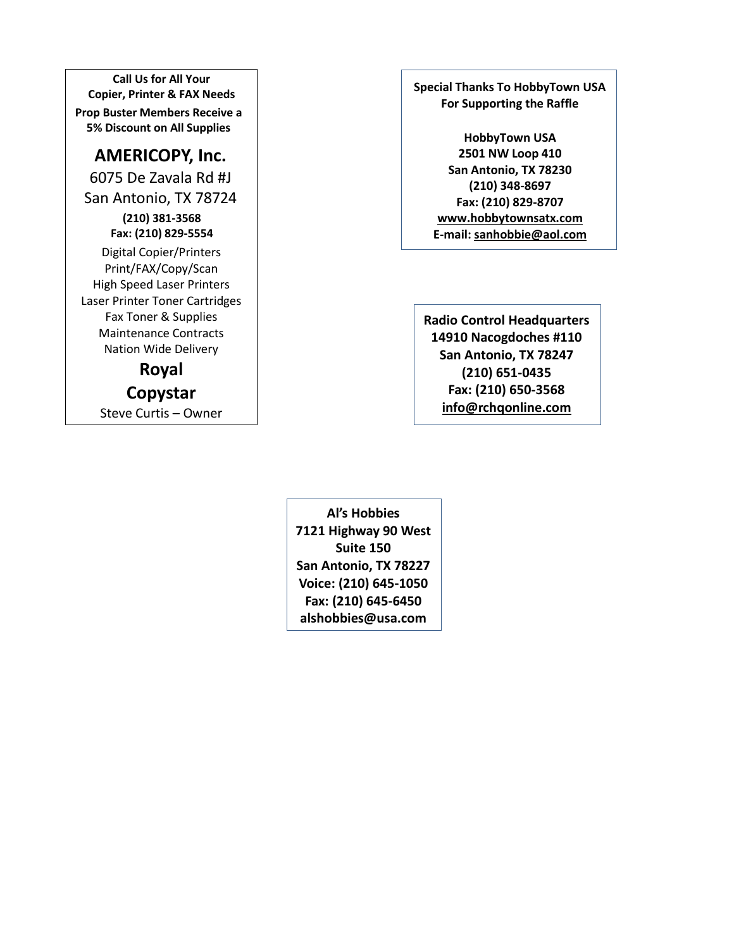**Call Us for All Your Copier, Printer & FAX Needs Prop Buster Members Receive a 5% Discount on All Supplies**

## **AMERICOPY, Inc.**

6075 De Zavala Rd #J San Antonio, TX 78724 **(210) 381-3568 Fax: (210) 829-5554** Digital Copier/Printers Print/FAX/Copy/Scan High Speed Laser Printers Laser Printer Toner Cartridges Fax Toner & Supplies Maintenance Contracts Nation Wide Delivery

**Royal Copystar**

Steve Curtis – Owner

**Special Thanks To HobbyTown USA For Supporting the Raffle**

> **HobbyTown USA 2501 NW Loop 410 San Antonio, TX 78230 (210) 348-8697 Fax: (210) 829-8707 [www.hobbytownsatx.com](http://www.hobbytownsatx.com/) E-mail[: sanhobbie@aol.com](mailto:sanhobbie@aol.com)**

**Radio Control Headquarters 14910 Nacogdoches #110 San Antonio, TX 78247 (210) 651-0435 Fax: (210) 650-3568 [info@rchqonline.com](mailto:info@rchqonline.com)**

**Al's Hobbies 7121 Highway 90 West Suite 150 San Antonio, TX 78227 Voice: (210) 645-1050 Fax: (210) 645-6450 alshobbies@usa.com**